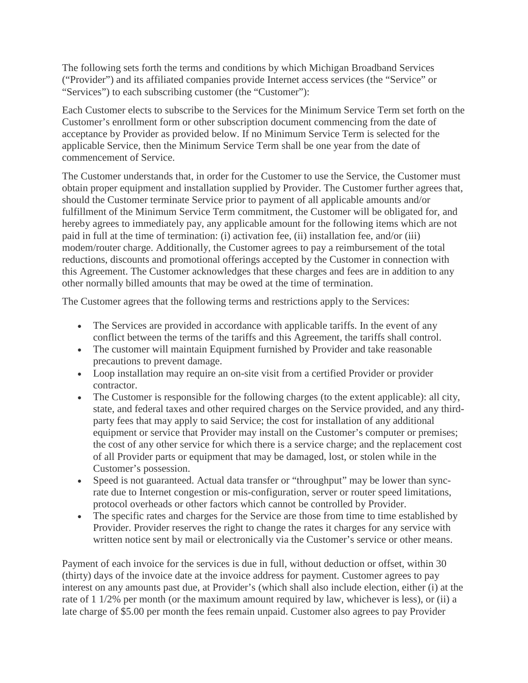The following sets forth the terms and conditions by which Michigan Broadband Services ("Provider") and its affiliated companies provide Internet access services (the "Service" or "Services") to each subscribing customer (the "Customer"):

Each Customer elects to subscribe to the Services for the Minimum Service Term set forth on the Customer's enrollment form or other subscription document commencing from the date of acceptance by Provider as provided below. If no Minimum Service Term is selected for the applicable Service, then the Minimum Service Term shall be one year from the date of commencement of Service.

The Customer understands that, in order for the Customer to use the Service, the Customer must obtain proper equipment and installation supplied by Provider. The Customer further agrees that, should the Customer terminate Service prior to payment of all applicable amounts and/or fulfillment of the Minimum Service Term commitment, the Customer will be obligated for, and hereby agrees to immediately pay, any applicable amount for the following items which are not paid in full at the time of termination: (i) activation fee, (ii) installation fee, and/or (iii) modem/router charge. Additionally, the Customer agrees to pay a reimbursement of the total reductions, discounts and promotional offerings accepted by the Customer in connection with this Agreement. The Customer acknowledges that these charges and fees are in addition to any other normally billed amounts that may be owed at the time of termination.

The Customer agrees that the following terms and restrictions apply to the Services:

- The Services are provided in accordance with applicable tariffs. In the event of any conflict between the terms of the tariffs and this Agreement, the tariffs shall control.
- The customer will maintain Equipment furnished by Provider and take reasonable precautions to prevent damage.
- Loop installation may require an on-site visit from a certified Provider or provider contractor.
- The Customer is responsible for the following charges (to the extent applicable): all city, state, and federal taxes and other required charges on the Service provided, and any thirdparty fees that may apply to said Service; the cost for installation of any additional equipment or service that Provider may install on the Customer's computer or premises; the cost of any other service for which there is a service charge; and the replacement cost of all Provider parts or equipment that may be damaged, lost, or stolen while in the Customer's possession.
- Speed is not guaranteed. Actual data transfer or "throughput" may be lower than syncrate due to Internet congestion or mis-configuration, server or router speed limitations, protocol overheads or other factors which cannot be controlled by Provider.
- The specific rates and charges for the Service are those from time to time established by Provider. Provider reserves the right to change the rates it charges for any service with written notice sent by mail or electronically via the Customer's service or other means.

Payment of each invoice for the services is due in full, without deduction or offset, within 30 (thirty) days of the invoice date at the invoice address for payment. Customer agrees to pay interest on any amounts past due, at Provider's (which shall also include election, either (i) at the rate of 1 1/2% per month (or the maximum amount required by law, whichever is less), or (ii) a late charge of \$5.00 per month the fees remain unpaid. Customer also agrees to pay Provider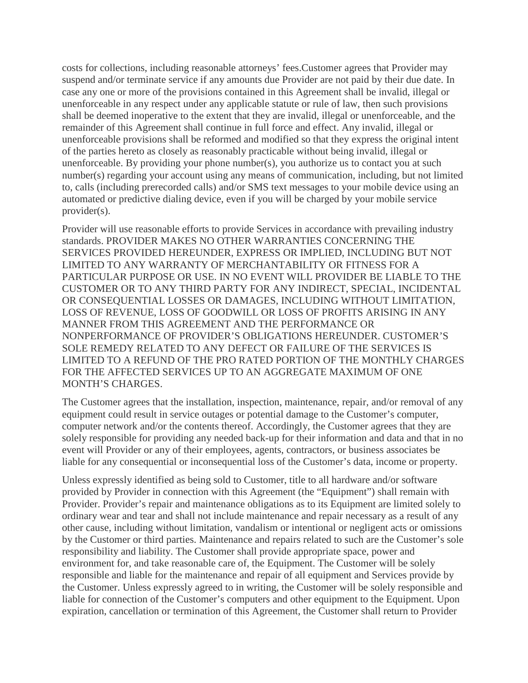costs for collections, including reasonable attorneys' fees.Customer agrees that Provider may suspend and/or terminate service if any amounts due Provider are not paid by their due date. In case any one or more of the provisions contained in this Agreement shall be invalid, illegal or unenforceable in any respect under any applicable statute or rule of law, then such provisions shall be deemed inoperative to the extent that they are invalid, illegal or unenforceable, and the remainder of this Agreement shall continue in full force and effect. Any invalid, illegal or unenforceable provisions shall be reformed and modified so that they express the original intent of the parties hereto as closely as reasonably practicable without being invalid, illegal or unenforceable. By providing your phone number(s), you authorize us to contact you at such number(s) regarding your account using any means of communication, including, but not limited to, calls (including prerecorded calls) and/or SMS text messages to your mobile device using an automated or predictive dialing device, even if you will be charged by your mobile service provider(s).

Provider will use reasonable efforts to provide Services in accordance with prevailing industry standards. PROVIDER MAKES NO OTHER WARRANTIES CONCERNING THE SERVICES PROVIDED HEREUNDER, EXPRESS OR IMPLIED, INCLUDING BUT NOT LIMITED TO ANY WARRANTY OF MERCHANTABILITY OR FITNESS FOR A PARTICULAR PURPOSE OR USE. IN NO EVENT WILL PROVIDER BE LIABLE TO THE CUSTOMER OR TO ANY THIRD PARTY FOR ANY INDIRECT, SPECIAL, INCIDENTAL OR CONSEQUENTIAL LOSSES OR DAMAGES, INCLUDING WITHOUT LIMITATION, LOSS OF REVENUE, LOSS OF GOODWILL OR LOSS OF PROFITS ARISING IN ANY MANNER FROM THIS AGREEMENT AND THE PERFORMANCE OR NONPERFORMANCE OF PROVIDER'S OBLIGATIONS HEREUNDER. CUSTOMER'S SOLE REMEDY RELATED TO ANY DEFECT OR FAILURE OF THE SERVICES IS LIMITED TO A REFUND OF THE PRO RATED PORTION OF THE MONTHLY CHARGES FOR THE AFFECTED SERVICES UP TO AN AGGREGATE MAXIMUM OF ONE MONTH'S CHARGES.

The Customer agrees that the installation, inspection, maintenance, repair, and/or removal of any equipment could result in service outages or potential damage to the Customer's computer, computer network and/or the contents thereof. Accordingly, the Customer agrees that they are solely responsible for providing any needed back-up for their information and data and that in no event will Provider or any of their employees, agents, contractors, or business associates be liable for any consequential or inconsequential loss of the Customer's data, income or property.

Unless expressly identified as being sold to Customer, title to all hardware and/or software provided by Provider in connection with this Agreement (the "Equipment") shall remain with Provider. Provider's repair and maintenance obligations as to its Equipment are limited solely to ordinary wear and tear and shall not include maintenance and repair necessary as a result of any other cause, including without limitation, vandalism or intentional or negligent acts or omissions by the Customer or third parties. Maintenance and repairs related to such are the Customer's sole responsibility and liability. The Customer shall provide appropriate space, power and environment for, and take reasonable care of, the Equipment. The Customer will be solely responsible and liable for the maintenance and repair of all equipment and Services provide by the Customer. Unless expressly agreed to in writing, the Customer will be solely responsible and liable for connection of the Customer's computers and other equipment to the Equipment. Upon expiration, cancellation or termination of this Agreement, the Customer shall return to Provider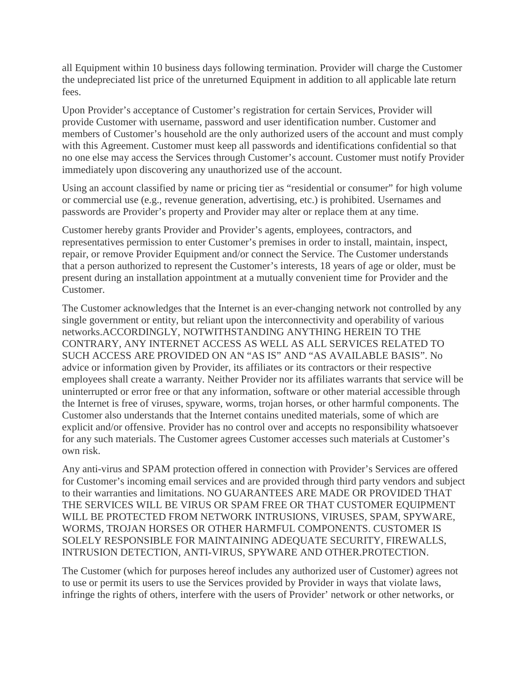all Equipment within 10 business days following termination. Provider will charge the Customer the undepreciated list price of the unreturned Equipment in addition to all applicable late return fees.

Upon Provider's acceptance of Customer's registration for certain Services, Provider will provide Customer with username, password and user identification number. Customer and members of Customer's household are the only authorized users of the account and must comply with this Agreement. Customer must keep all passwords and identifications confidential so that no one else may access the Services through Customer's account. Customer must notify Provider immediately upon discovering any unauthorized use of the account.

Using an account classified by name or pricing tier as "residential or consumer" for high volume or commercial use (e.g., revenue generation, advertising, etc.) is prohibited. Usernames and passwords are Provider's property and Provider may alter or replace them at any time.

Customer hereby grants Provider and Provider's agents, employees, contractors, and representatives permission to enter Customer's premises in order to install, maintain, inspect, repair, or remove Provider Equipment and/or connect the Service. The Customer understands that a person authorized to represent the Customer's interests, 18 years of age or older, must be present during an installation appointment at a mutually convenient time for Provider and the Customer.

The Customer acknowledges that the Internet is an ever-changing network not controlled by any single government or entity, but reliant upon the interconnectivity and operability of various networks.ACCORDINGLY, NOTWITHSTANDING ANYTHING HEREIN TO THE CONTRARY, ANY INTERNET ACCESS AS WELL AS ALL SERVICES RELATED TO SUCH ACCESS ARE PROVIDED ON AN "AS IS" AND "AS AVAILABLE BASIS". No advice or information given by Provider, its affiliates or its contractors or their respective employees shall create a warranty. Neither Provider nor its affiliates warrants that service will be uninterrupted or error free or that any information, software or other material accessible through the Internet is free of viruses, spyware, worms, trojan horses, or other harmful components. The Customer also understands that the Internet contains unedited materials, some of which are explicit and/or offensive. Provider has no control over and accepts no responsibility whatsoever for any such materials. The Customer agrees Customer accesses such materials at Customer's own risk.

Any anti-virus and SPAM protection offered in connection with Provider's Services are offered for Customer's incoming email services and are provided through third party vendors and subject to their warranties and limitations. NO GUARANTEES ARE MADE OR PROVIDED THAT THE SERVICES WILL BE VIRUS OR SPAM FREE OR THAT CUSTOMER EQUIPMENT WILL BE PROTECTED FROM NETWORK INTRUSIONS, VIRUSES, SPAM, SPYWARE, WORMS, TROJAN HORSES OR OTHER HARMFUL COMPONENTS. CUSTOMER IS SOLELY RESPONSIBLE FOR MAINTAINING ADEQUATE SECURITY, FIREWALLS, INTRUSION DETECTION, ANTI-VIRUS, SPYWARE AND OTHER.PROTECTION.

The Customer (which for purposes hereof includes any authorized user of Customer) agrees not to use or permit its users to use the Services provided by Provider in ways that violate laws, infringe the rights of others, interfere with the users of Provider' network or other networks, or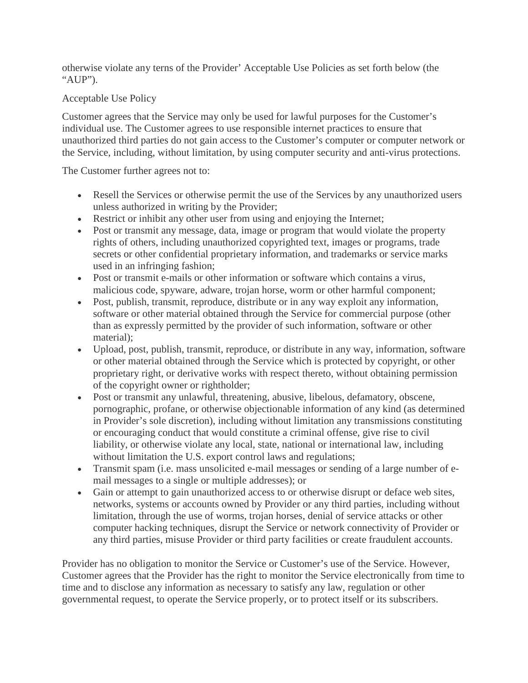otherwise violate any terns of the Provider' Acceptable Use Policies as set forth below (the "AUP").

## Acceptable Use Policy

Customer agrees that the Service may only be used for lawful purposes for the Customer's individual use. The Customer agrees to use responsible internet practices to ensure that unauthorized third parties do not gain access to the Customer's computer or computer network or the Service, including, without limitation, by using computer security and anti-virus protections.

The Customer further agrees not to:

- Resell the Services or otherwise permit the use of the Services by any unauthorized users unless authorized in writing by the Provider;
- Restrict or inhibit any other user from using and enjoying the Internet;
- Post or transmit any message, data, image or program that would violate the property rights of others, including unauthorized copyrighted text, images or programs, trade secrets or other confidential proprietary information, and trademarks or service marks used in an infringing fashion;
- Post or transmit e-mails or other information or software which contains a virus, malicious code, spyware, adware, trojan horse, worm or other harmful component;
- Post, publish, transmit, reproduce, distribute or in any way exploit any information, software or other material obtained through the Service for commercial purpose (other than as expressly permitted by the provider of such information, software or other material);
- Upload, post, publish, transmit, reproduce, or distribute in any way, information, software or other material obtained through the Service which is protected by copyright, or other proprietary right, or derivative works with respect thereto, without obtaining permission of the copyright owner or rightholder;
- Post or transmit any unlawful, threatening, abusive, libelous, defamatory, obscene, pornographic, profane, or otherwise objectionable information of any kind (as determined in Provider's sole discretion), including without limitation any transmissions constituting or encouraging conduct that would constitute a criminal offense, give rise to civil liability, or otherwise violate any local, state, national or international law, including without limitation the U.S. export control laws and regulations;
- Transmit spam (i.e. mass unsolicited e-mail messages or sending of a large number of email messages to a single or multiple addresses); or
- Gain or attempt to gain unauthorized access to or otherwise disrupt or deface web sites, networks, systems or accounts owned by Provider or any third parties, including without limitation, through the use of worms, trojan horses, denial of service attacks or other computer hacking techniques, disrupt the Service or network connectivity of Provider or any third parties, misuse Provider or third party facilities or create fraudulent accounts.

Provider has no obligation to monitor the Service or Customer's use of the Service. However, Customer agrees that the Provider has the right to monitor the Service electronically from time to time and to disclose any information as necessary to satisfy any law, regulation or other governmental request, to operate the Service properly, or to protect itself or its subscribers.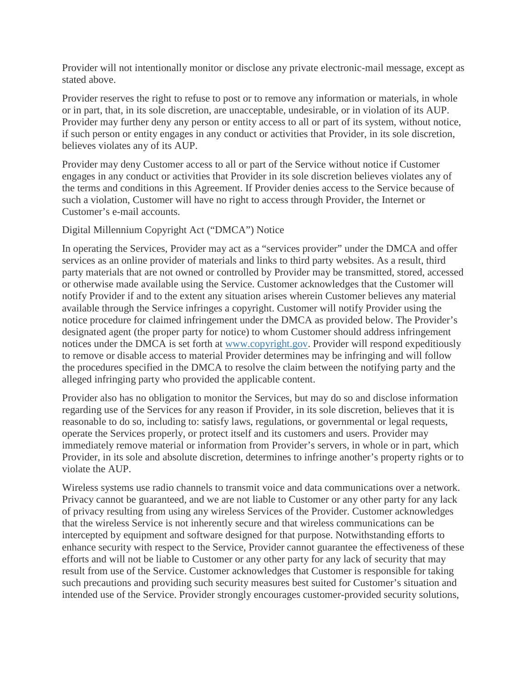Provider will not intentionally monitor or disclose any private electronic-mail message, except as stated above.

Provider reserves the right to refuse to post or to remove any information or materials, in whole or in part, that, in its sole discretion, are unacceptable, undesirable, or in violation of its AUP. Provider may further deny any person or entity access to all or part of its system, without notice, if such person or entity engages in any conduct or activities that Provider, in its sole discretion, believes violates any of its AUP.

Provider may deny Customer access to all or part of the Service without notice if Customer engages in any conduct or activities that Provider in its sole discretion believes violates any of the terms and conditions in this Agreement. If Provider denies access to the Service because of such a violation, Customer will have no right to access through Provider, the Internet or Customer's e-mail accounts.

## Digital Millennium Copyright Act ("DMCA") Notice

In operating the Services, Provider may act as a "services provider" under the DMCA and offer services as an online provider of materials and links to third party websites. As a result, third party materials that are not owned or controlled by Provider may be transmitted, stored, accessed or otherwise made available using the Service. Customer acknowledges that the Customer will notify Provider if and to the extent any situation arises wherein Customer believes any material available through the Service infringes a copyright. Customer will notify Provider using the notice procedure for claimed infringement under the DMCA as provided below. The Provider's designated agent (the proper party for notice) to whom Customer should address infringement notices under the DMCA is set forth at [www.copyright.gov.](http://www.copyright.gov/) Provider will respond expeditiously to remove or disable access to material Provider determines may be infringing and will follow the procedures specified in the DMCA to resolve the claim between the notifying party and the alleged infringing party who provided the applicable content.

Provider also has no obligation to monitor the Services, but may do so and disclose information regarding use of the Services for any reason if Provider, in its sole discretion, believes that it is reasonable to do so, including to: satisfy laws, regulations, or governmental or legal requests, operate the Services properly, or protect itself and its customers and users. Provider may immediately remove material or information from Provider's servers, in whole or in part, which Provider, in its sole and absolute discretion, determines to infringe another's property rights or to violate the AUP.

Wireless systems use radio channels to transmit voice and data communications over a network. Privacy cannot be guaranteed, and we are not liable to Customer or any other party for any lack of privacy resulting from using any wireless Services of the Provider. Customer acknowledges that the wireless Service is not inherently secure and that wireless communications can be intercepted by equipment and software designed for that purpose. Notwithstanding efforts to enhance security with respect to the Service, Provider cannot guarantee the effectiveness of these efforts and will not be liable to Customer or any other party for any lack of security that may result from use of the Service. Customer acknowledges that Customer is responsible for taking such precautions and providing such security measures best suited for Customer's situation and intended use of the Service. Provider strongly encourages customer-provided security solutions,